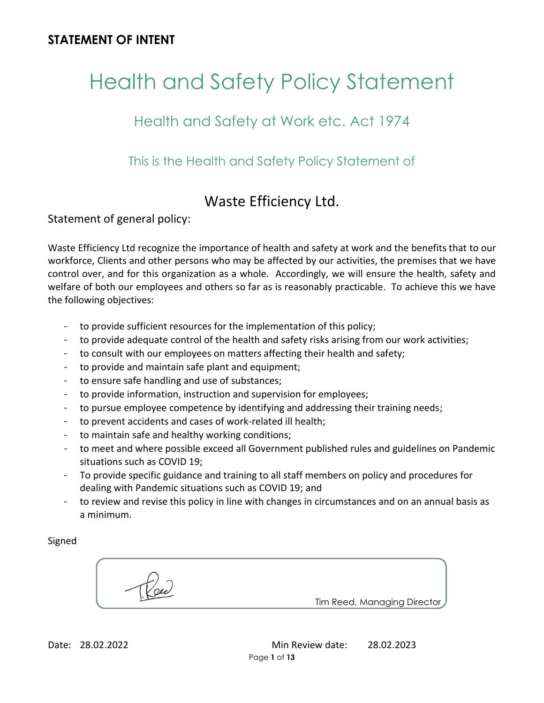# Health and Safety Policy Statement

# Health and Safety at Work etc. Act 1974

This is the Health and Safety Policy Statement of

# Waste Efficiency Ltd.

Statement of general policy:

Waste Efficiency Ltd recognize the importance of health and safety at work and the benefits that to our workforce, Clients and other persons who may be affected by our activities, the premises that we have control over, and for this organization as a whole. Accordingly, we will ensure the health, safety and welfare of both our employees and others so far as is reasonably practicable. To achieve this we have the following objectives:

- to provide sufficient resources for the implementation of this policy;
- to provide adequate control of the health and safety risks arising from our work activities;
- to consult with our employees on matters affecting their health and safety;
- to provide and maintain safe plant and equipment;
- to ensure safe handling and use of substances;
- to provide information, instruction and supervision for employees;
- to pursue employee competence by identifying and addressing their training needs;
- to prevent accidents and cases of work-related ill health;
- to maintain safe and healthy working conditions;
- to meet and where possible exceed all Government published rules and guidelines on Pandemic situations such as COVID 19;
- To provide specific guidance and training to all staff members on policy and procedures for dealing with Pandemic situations such as COVID 19; and
- to review and revise this policy in line with changes in circumstances and on an annual basis as a minimum.

Signed

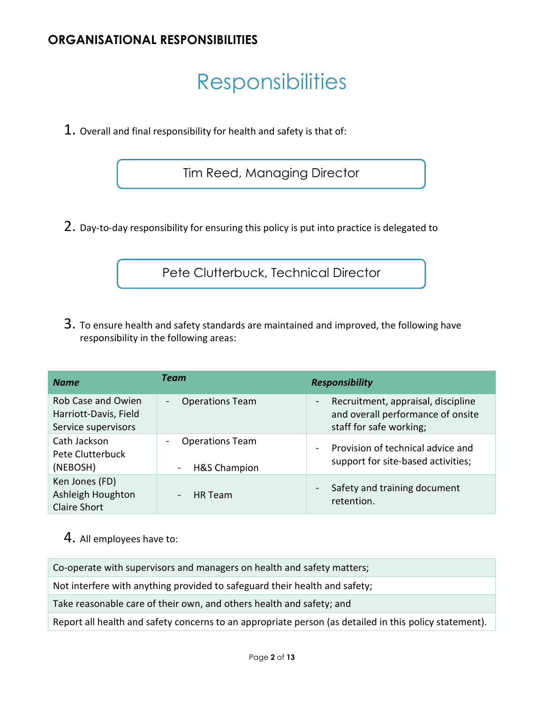## **ORGANISATIONAL RESPONSIBILITIES**

# **Responsibilities**

1. Overall and final responsibility for health and safety is that of:

Tim Reed, Managing Director

2. Day-to-day responsibility for ensuring this policy is put into practice is delegated to

Pete Clutterbuck, Technical Director

3. To ensure health and safety standards are maintained and improved, the following have responsibility in the following areas:

| <b>Name</b>                                                        | Team                                                   | <b>Responsibility</b>                                                                               |
|--------------------------------------------------------------------|--------------------------------------------------------|-----------------------------------------------------------------------------------------------------|
| Rob Case and Owien<br>Harriott-Davis, Field<br>Service supervisors | <b>Operations Team</b><br>$\overline{\phantom{a}}$     | Recruitment, appraisal, discipline<br>and overall performance of onsite<br>staff for safe working;  |
| Cath Jackson<br>Pete Clutterbuck<br>(NEBOSH)                       | <b>Operations Team</b><br><b>H&amp;S Champion</b><br>- | Provision of technical advice and<br>$\overline{\phantom{a}}$<br>support for site-based activities; |
| Ken Jones (FD)<br>Ashleigh Houghton<br><b>Claire Short</b>         | <b>HR</b> Team<br>$\overline{\phantom{a}}$             | Safety and training document<br>retention.                                                          |

## 4. All employees have to:

Co-operate with supervisors and managers on health and safety matters;

Not interfere with anything provided to safeguard their health and safety;

Take reasonable care of their own, and others health and safety; and

Report all health and safety concerns to an appropriate person (as detailed in this policy statement).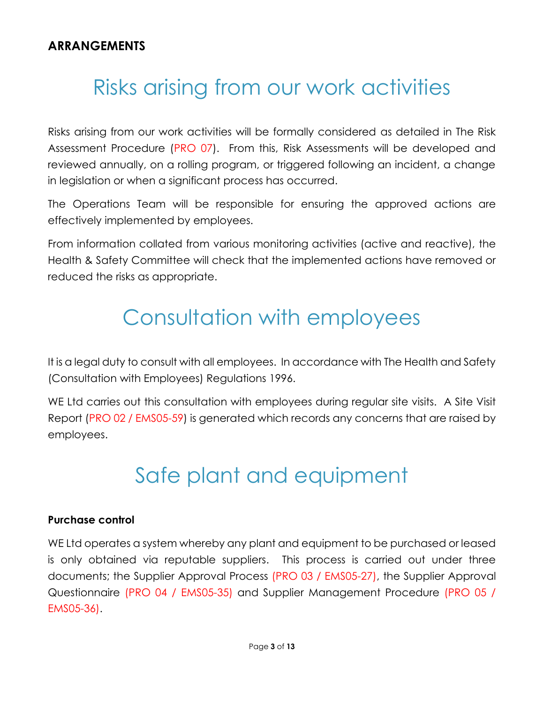# Risks arising from our work activities

Risks arising from our work activities will be formally considered as detailed in The Risk Assessment Procedure (PRO 07). From this, Risk Assessments will be developed and reviewed annually, on a rolling program, or triggered following an incident, a change in legislation or when a significant process has occurred.

The Operations Team will be responsible for ensuring the approved actions are effectively implemented by employees.

From information collated from various monitoring activities (active and reactive), the Health & Safety Committee will check that the implemented actions have removed or reduced the risks as appropriate.

# Consultation with employees

It is a legal duty to consult with all employees. In accordance with The Health and Safety (Consultation with Employees) Regulations 1996.

WE Ltd carries out this consultation with employees during regular site visits. A Site Visit Report (PRO 02 / EMS05-59) is generated which records any concerns that are raised by employees.

# Safe plant and equipment

#### **Purchase control**

WE Ltd operates a system whereby any plant and equipment to be purchased or leased is only obtained via reputable suppliers. This process is carried out under three documents; the Supplier Approval Process (PRO 03 / EMS05-27), the Supplier Approval Questionnaire (PRO 04 / EMS05-35) and Supplier Management Procedure (PRO 05 / EMS05-36).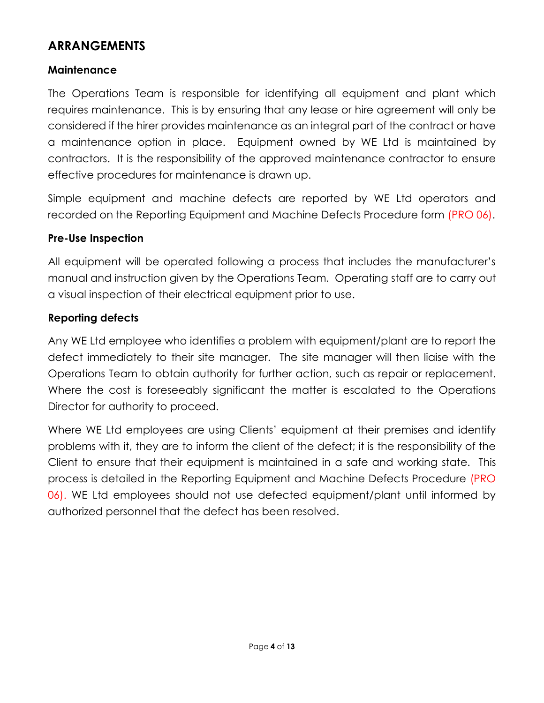## **Maintenance**

The Operations Team is responsible for identifying all equipment and plant which requires maintenance. This is by ensuring that any lease or hire agreement will only be considered if the hirer provides maintenance as an integral part of the contract or have a maintenance option in place. Equipment owned by WE Ltd is maintained by contractors. It is the responsibility of the approved maintenance contractor to ensure effective procedures for maintenance is drawn up.

Simple equipment and machine defects are reported by WE Ltd operators and recorded on the Reporting Equipment and Machine Defects Procedure form (PRO 06).

## **Pre-Use Inspection**

All equipment will be operated following a process that includes the manufacturer's manual and instruction given by the Operations Team. Operating staff are to carry out a visual inspection of their electrical equipment prior to use.

#### **Reporting defects**

Any WE Ltd employee who identifies a problem with equipment/plant are to report the defect immediately to their site manager. The site manager will then liaise with the Operations Team to obtain authority for further action, such as repair or replacement. Where the cost is foreseeably significant the matter is escalated to the Operations Director for authority to proceed.

Where WE Ltd employees are using Clients' equipment at their premises and identify problems with it, they are to inform the client of the defect; it is the responsibility of the Client to ensure that their equipment is maintained in a safe and working state. This process is detailed in the Reporting Equipment and Machine Defects Procedure (PRO 06). WE Ltd employees should not use defected equipment/plant until informed by authorized personnel that the defect has been resolved.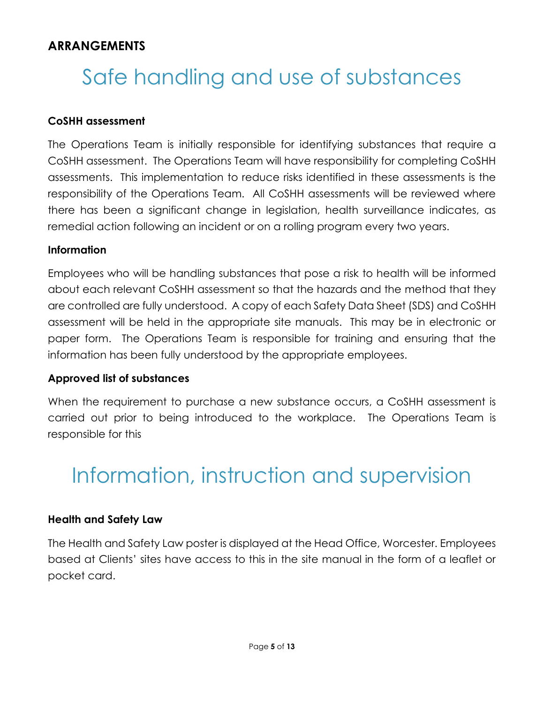# Safe handling and use of substances

#### **CoSHH assessment**

The Operations Team is initially responsible for identifying substances that require a CoSHH assessment. The Operations Team will have responsibility for completing CoSHH assessments. This implementation to reduce risks identified in these assessments is the responsibility of the Operations Team. All CoSHH assessments will be reviewed where there has been a significant change in legislation, health surveillance indicates, as remedial action following an incident or on a rolling program every two years.

#### **Information**

Employees who will be handling substances that pose a risk to health will be informed about each relevant CoSHH assessment so that the hazards and the method that they are controlled are fully understood. A copy of each Safety Data Sheet (SDS) and CoSHH assessment will be held in the appropriate site manuals. This may be in electronic or paper form. The Operations Team is responsible for training and ensuring that the information has been fully understood by the appropriate employees.

#### **Approved list of substances**

When the requirement to purchase a new substance occurs, a CoSHH assessment is carried out prior to being introduced to the workplace. The Operations Team is responsible for this

# Information, instruction and supervision

#### **Health and Safety Law**

The Health and Safety Law poster is displayed at the Head Office, Worcester. Employees based at Clients' sites have access to this in the site manual in the form of a leaflet or pocket card.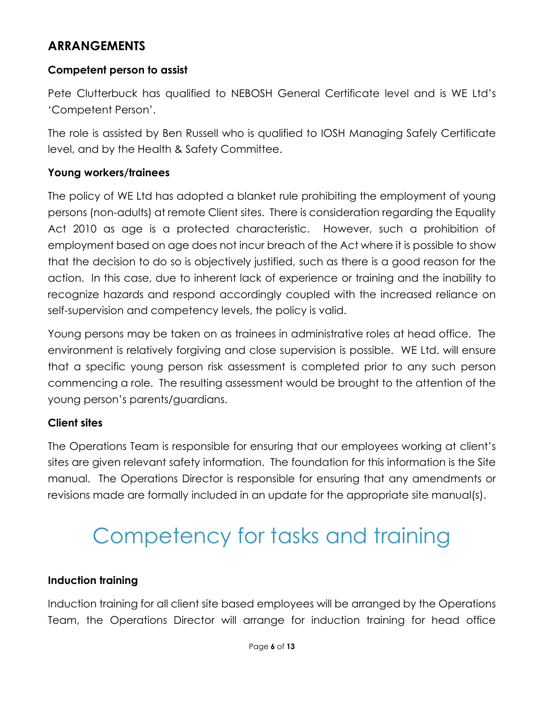### **Competent person to assist**

Pete Clutterbuck has qualified to NEBOSH General Certificate level and is WE Ltd's 'Competent Person'.

The role is assisted by Ben Russell who is qualified to IOSH Managing Safely Certificate level, and by the Health & Safety Committee.

#### **Young workers/trainees**

The policy of WE Ltd has adopted a blanket rule prohibiting the employment of young persons (non-adults) at remote Client sites. There is consideration regarding the Equality Act 2010 as age is a protected characteristic. However, such a prohibition of employment based on age does not incur breach of the Act where it is possible to show that the decision to do so is objectively justified, such as there is a good reason for the action. In this case, due to inherent lack of experience or training and the inability to recognize hazards and respond accordingly coupled with the increased reliance on self-supervision and competency levels, the policy is valid.

Young persons may be taken on as trainees in administrative roles at head office. The environment is relatively forgiving and close supervision is possible. WE Ltd. will ensure that a specific young person risk assessment is completed prior to any such person commencing a role. The resulting assessment would be brought to the attention of the young person's parents/guardians.

## **Client sites**

The Operations Team is responsible for ensuring that our employees working at client's sites are given relevant safety information. The foundation for this information is the Site manual. The Operations Director is responsible for ensuring that any amendments or revisions made are formally included in an update for the appropriate site manual(s).

# Competency for tasks and training

#### **Induction training**

Induction training for all client site based employees will be arranged by the Operations Team, the Operations Director will arrange for induction training for head office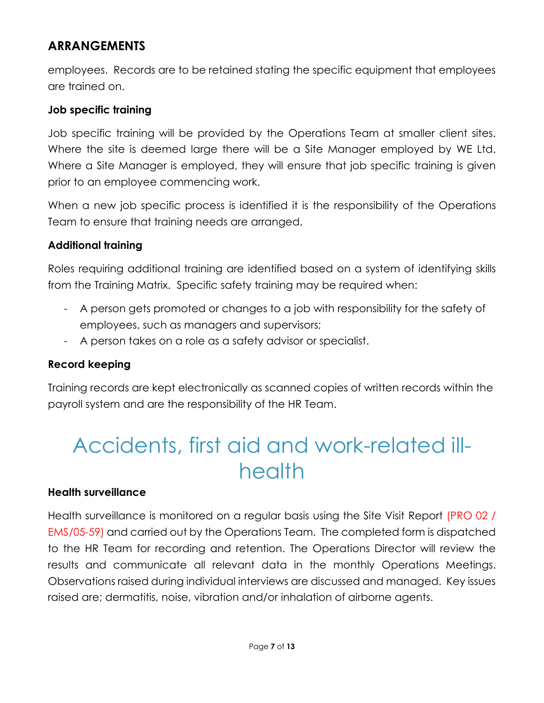employees. Records are to be retained stating the specific equipment that employees are trained on.

#### **Job specific training**

Job specific training will be provided by the Operations Team at smaller client sites. Where the site is deemed large there will be a Site Manager employed by WE Ltd. Where a Site Manager is employed, they will ensure that job specific training is given prior to an employee commencing work.

When a new job specific process is identified it is the responsibility of the Operations Team to ensure that training needs are arranged.

## **Additional training**

Roles requiring additional training are identified based on a system of identifying skills from the Training Matrix. Specific safety training may be required when:

- A person gets promoted or changes to a job with responsibility for the safety of employees, such as managers and supervisors;
- A person takes on a role as a safety advisor or specialist.

## **Record keeping**

Training records are kept electronically as scanned copies of written records within the payroll system and are the responsibility of the HR Team.

# Accidents, first aid and work-related illhealth

#### **Health surveillance**

Health surveillance is monitored on a regular basis using the Site Visit Report (PRO 02 / EMS/05-59) and carried out by the Operations Team. The completed form is dispatched to the HR Team for recording and retention. The Operations Director will review the results and communicate all relevant data in the monthly Operations Meetings. Observations raised during individual interviews are discussed and managed. Key issues raised are; dermatitis, noise, vibration and/or inhalation of airborne agents.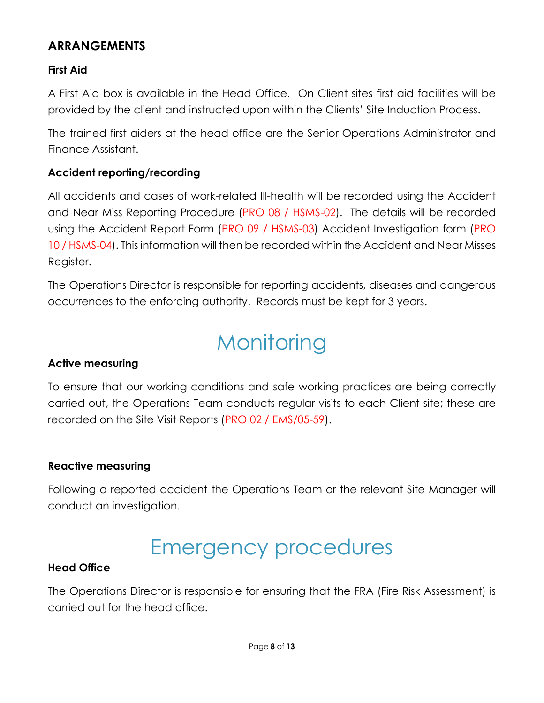## **First Aid**

A First Aid box is available in the Head Office. On Client sites first aid facilities will be provided by the client and instructed upon within the Clients' Site Induction Process.

The trained first aiders at the head office are the Senior Operations Administrator and Finance Assistant.

#### **Accident reporting/recording**

All accidents and cases of work-related Ill-health will be recorded using the Accident and Near Miss Reporting Procedure (PRO 08 / HSMS-02). The details will be recorded using the Accident Report Form (PRO 09 / HSMS-03) Accident Investigation form (PRO 10 / HSMS-04). This information will then be recorded within the Accident and Near Misses Register.

The Operations Director is responsible for reporting accidents, diseases and dangerous occurrences to the enforcing authority. Records must be kept for 3 years.

# **Monitoring**

#### **Active measuring**

To ensure that our working conditions and safe working practices are being correctly carried out, the Operations Team conducts regular visits to each Client site; these are recorded on the Site Visit Reports (PRO 02 / EMS/05-59).

#### **Reactive measuring**

Following a reported accident the Operations Team or the relevant Site Manager will conduct an investigation.

# Emergency procedures

#### **Head Office**

The Operations Director is responsible for ensuring that the FRA (Fire Risk Assessment) is carried out for the head office.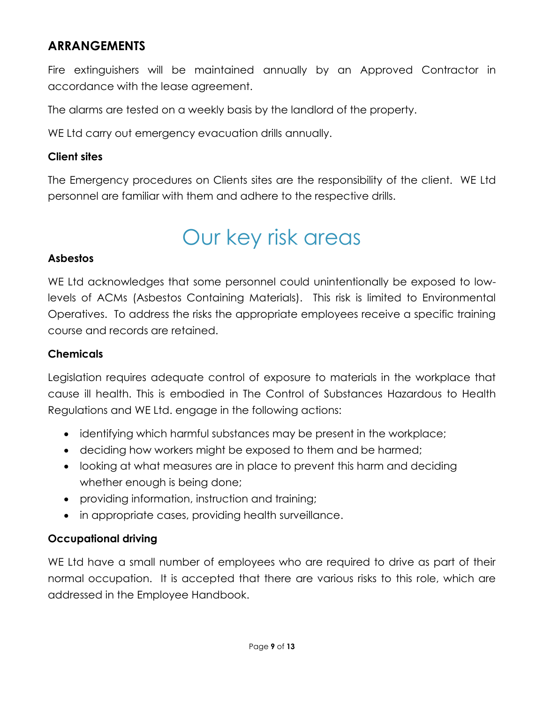Fire extinguishers will be maintained annually by an Approved Contractor in accordance with the lease agreement.

The alarms are tested on a weekly basis by the landlord of the property.

WE Ltd carry out emergency evacuation drills annually.

#### **Client sites**

The Emergency procedures on Clients sites are the responsibility of the client. WE Ltd personnel are familiar with them and adhere to the respective drills.

# Our key risk areas

#### **Asbestos**

WE Ltd acknowledges that some personnel could unintentionally be exposed to lowlevels of ACMs (Asbestos Containing Materials). This risk is limited to Environmental Operatives. To address the risks the appropriate employees receive a specific training course and records are retained.

## **Chemicals**

Legislation requires adequate control of exposure to materials in the workplace that cause ill health. This is embodied in The Control of Substances Hazardous to Health Regulations and WE Ltd. engage in the following actions:

- identifying which harmful substances may be present in the workplace;
- deciding how workers might be exposed to them and be harmed;
- looking at what measures are in place to prevent this harm and deciding whether enough is being done;
- providing information, instruction and training;
- in appropriate cases, providing health surveillance.

## **Occupational driving**

WE Ltd have a small number of employees who are required to drive as part of their normal occupation. It is accepted that there are various risks to this role, which are addressed in the Employee Handbook.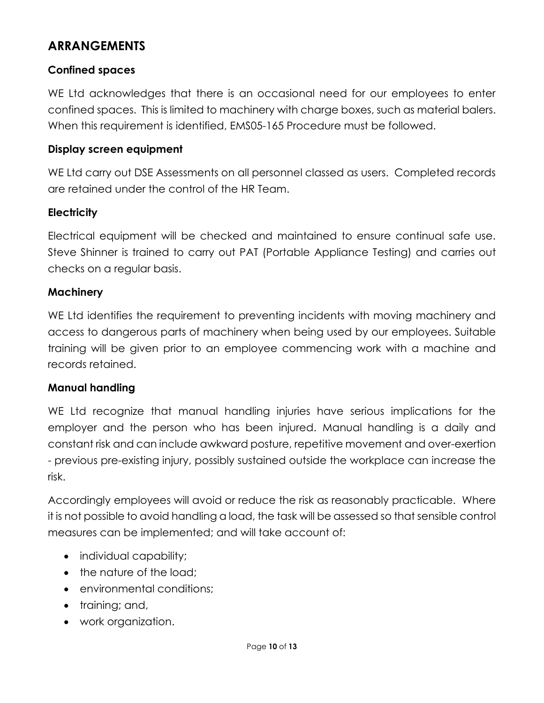## **Confined spaces**

WE Ltd acknowledges that there is an occasional need for our employees to enter confined spaces. This is limited to machinery with charge boxes, such as material balers. When this requirement is identified, EMS05-165 Procedure must be followed.

## **Display screen equipment**

WE Ltd carry out DSE Assessments on all personnel classed as users. Completed records are retained under the control of the HR Team.

#### **Electricity**

Electrical equipment will be checked and maintained to ensure continual safe use. Steve Shinner is trained to carry out PAT (Portable Appliance Testing) and carries out checks on a regular basis.

#### **Machinery**

WE Ltd identifies the requirement to preventing incidents with moving machinery and access to dangerous parts of machinery when being used by our employees. Suitable training will be given prior to an employee commencing work with a machine and records retained.

#### **Manual handling**

WE Ltd recognize that manual handling injuries have serious implications for the employer and the person who has been injured. Manual handling is a daily and constant risk and can include awkward posture, repetitive movement and over-exertion - previous pre-existing injury, possibly sustained outside the workplace can increase the risk.

Accordingly employees will avoid or reduce the risk as reasonably practicable. Where it is not possible to avoid handling a load, the task will be assessed so that sensible control measures can be implemented; and will take account of:

- individual capability;
- the nature of the load;
- environmental conditions;
- training; and,
- work organization.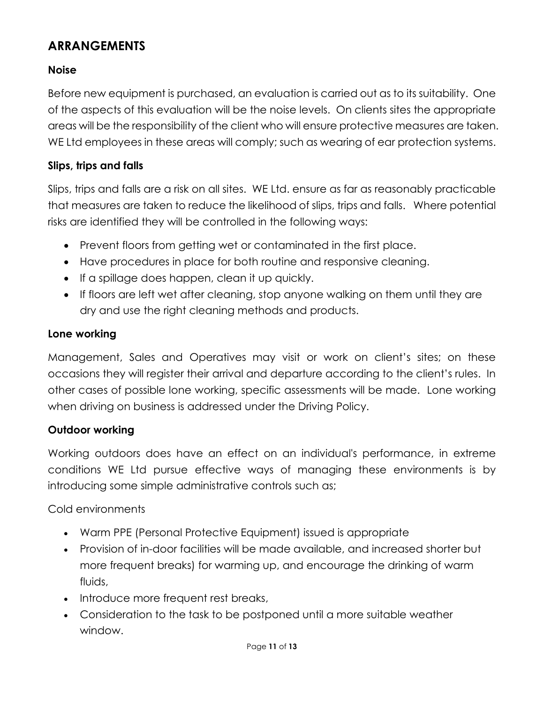## **Noise**

Before new equipment is purchased, an evaluation is carried out as to its suitability. One of the aspects of this evaluation will be the noise levels. On clients sites the appropriate areas will be the responsibility of the client who will ensure protective measures are taken. WE Ltd employees in these areas will comply; such as wearing of ear protection systems.

## **Slips, trips and falls**

Slips, trips and falls are a risk on all sites. WE Ltd. ensure as far as reasonably practicable that measures are taken to reduce the likelihood of slips, trips and falls. Where potential risks are identified they will be controlled in the following ways:

- Prevent floors from getting wet or contaminated in the first place.
- Have procedures in place for both routine and responsive cleaning.
- If a spillage does happen, clean it up quickly.
- If floors are left wet after cleaning, stop anyone walking on them until they are dry and use the right cleaning methods and products.

#### **Lone working**

Management, Sales and Operatives may visit or work on client's sites; on these occasions they will register their arrival and departure according to the client's rules. In other cases of possible lone working, specific assessments will be made. Lone working when driving on business is addressed under the Driving Policy.

#### **Outdoor working**

Working outdoors does have an effect on an individual's performance, in extreme conditions WE Ltd pursue effective ways of managing these environments is by introducing some simple administrative controls such as;

Cold environments

- Warm PPE (Personal Protective Equipment) issued is appropriate
- Provision of in-door facilities will be made available, and increased shorter but more frequent breaks) for warming up, and encourage the drinking of warm fluids,
- Introduce more frequent rest breaks,
- Consideration to the task to be postponed until a more suitable weather window.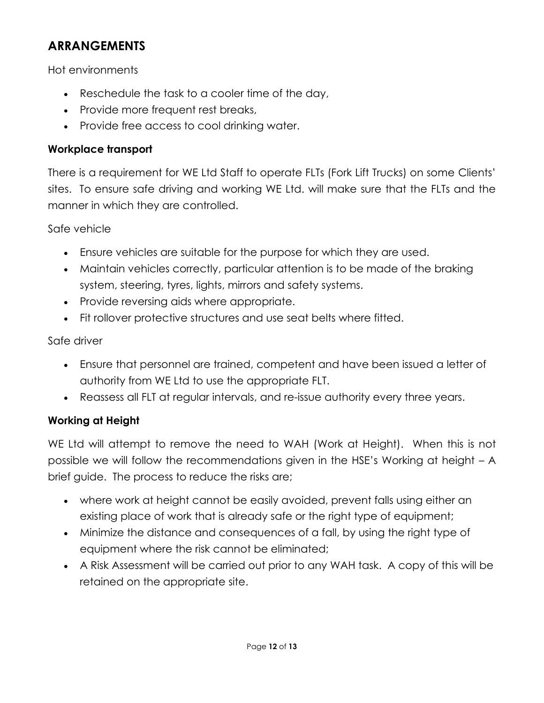Hot environments

- Reschedule the task to a cooler time of the day,
- Provide more frequent rest breaks,
- Provide free access to cool drinking water.

## **Workplace transport**

There is a requirement for WE Ltd Staff to operate FLTs (Fork Lift Trucks) on some Clients' sites. To ensure safe driving and working WE Ltd. will make sure that the FLTs and the manner in which they are controlled.

Safe vehicle

- Ensure vehicles are suitable for the purpose for which they are used.
- Maintain vehicles correctly, particular attention is to be made of the braking system, steering, tyres, lights, mirrors and safety systems.
- Provide reversing aids where appropriate.
- Fit rollover protective structures and use seat belts where fitted.

#### Safe driver

- Ensure that personnel are trained, competent and have been issued a letter of authority from WE Ltd to use the appropriate FLT.
- Reassess all FLT at regular intervals, and re-issue authority every three years.

## **Working at Height**

WE Ltd will attempt to remove the need to WAH (Work at Height). When this is not possible we will follow the recommendations given in the HSE's Working at height – A brief guide. The process to reduce the risks are;

- where work at height cannot be easily avoided, prevent falls using either an existing place of work that is already safe or the right type of equipment;
- Minimize the distance and consequences of a fall, by using the right type of equipment where the risk cannot be eliminated;
- A Risk Assessment will be carried out prior to any WAH task. A copy of this will be retained on the appropriate site.